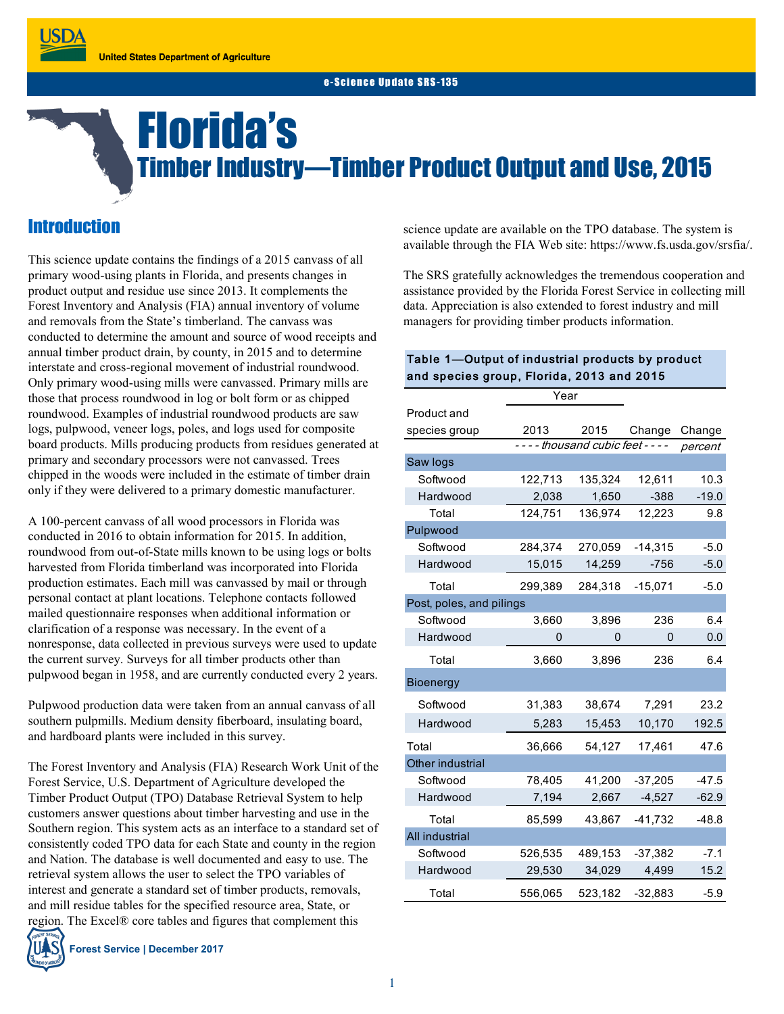# Florida's Timber Industry—Timber Product Output and Use, 2015

# **Introduction**

This science update contains the findings of a 2015 canvass of all primary wood-using plants in Florida, and presents changes in product output and residue use since 2013. It complements the Forest Inventory and Analysis (FIA) annual inventory of volume and removals from the State's timberland. The canvass was conducted to determine the amount and source of wood receipts and annual timber product drain, by county, in 2015 and to determine interstate and cross-regional movement of industrial roundwood. Only primary wood-using mills were canvassed. Primary mills are those that process roundwood in log or bolt form or as chipped roundwood. Examples of industrial roundwood products are saw logs, pulpwood, veneer logs, poles, and logs used for composite board products. Mills producing products from residues generated at primary and secondary processors were not canvassed. Trees chipped in the woods were included in the estimate of timber drain only if they were delivered to a primary domestic manufacturer.

A 100-percent canvass of all wood processors in Florida was conducted in 2016 to obtain information for 2015. In addition, roundwood from out-of-State mills known to be using logs or bolts harvested from Florida timberland was incorporated into Florida production estimates. Each mill was canvassed by mail or through personal contact at plant locations. Telephone contacts followed mailed questionnaire responses when additional information or clarification of a response was necessary. In the event of a nonresponse, data collected in previous surveys were used to update the current survey. Surveys for all timber products other than pulpwood began in 1958, and are currently conducted every 2 years.

Pulpwood production data were taken from an annual canvass of all southern pulpmills. Medium density fiberboard, insulating board, and hardboard plants were included in this survey.

The Forest Inventory and Analysis (FIA) Research Work Unit of the Forest Service, U.S. Department of Agriculture developed the Timber Product Output (TPO) Database Retrieval System to help customers answer questions about timber harvesting and use in the Southern region. This system acts as an interface to a standard set of consistently coded TPO data for each State and county in the region and Nation. The database is well documented and easy to use. The retrieval system allows the user to select the TPO variables of interest and generate a standard set of timber products, removals, and mill residue tables for the specified resource area, State, or region. The Excel® core tables and figures that complement this

**Forest Service | December 2017**

science update are available on the TPO database. The system is available through the FIA Web site: https://www.fs.usda.gov/srsfia/.

The SRS gratefully acknowledges the tremendous cooperation and assistance provided by the Florida Forest Service in collecting mill data. Appreciation is also extended to forest industry and mill managers for providing timber products information.

### Table 1—Output of industrial products by product and species group, Florida, 2013 and 2015

|                          | Year    |                               |           |         |
|--------------------------|---------|-------------------------------|-----------|---------|
| Product and              |         |                               |           |         |
| species group            | 2013    | 2015                          | Change    | Change  |
|                          |         | ---- thousand cubic feet ---- |           | percent |
| Saw logs                 |         |                               |           |         |
| Softwood                 | 122,713 | 135,324                       | 12,611    | 10.3    |
| Hardwood                 | 2,038   | 1,650                         | $-388$    | $-19.0$ |
| Total                    | 124,751 | 136,974                       | 12,223    | 9.8     |
| Pulpwood                 |         |                               |           |         |
| Softwood                 | 284,374 | 270,059                       | $-14,315$ | $-5.0$  |
| Hardwood                 | 15,015  | 14,259                        | $-756$    | $-5.0$  |
| Total                    | 299,389 | 284,318                       | $-15,071$ | $-5.0$  |
| Post, poles, and pilings |         |                               |           |         |
| Softwood                 | 3,660   | 3,896                         | 236       | 6.4     |
| Hardwood                 | 0       | 0                             | 0         | 0.0     |
| Total                    | 3,660   | 3,896                         | 236       | 6.4     |
| <b>Bioenergy</b>         |         |                               |           |         |
| Softwood                 | 31,383  | 38,674                        | 7,291     | 23.2    |
| Hardwood                 | 5,283   | 15,453                        | 10,170    | 192.5   |
| Total                    | 36,666  | 54,127                        | 17,461    | 47.6    |
| Other industrial         |         |                               |           |         |
| Softwood                 | 78,405  | 41,200                        | $-37,205$ | $-47.5$ |
| Hardwood                 | 7,194   | 2,667                         | $-4,527$  | $-62.9$ |
| Total                    | 85,599  | 43,867                        | $-41,732$ | $-48.8$ |
| <b>All industrial</b>    |         |                               |           |         |
| Softwood                 | 526,535 | 489,153                       | $-37,382$ | $-7.1$  |
| Hardwood                 | 29,530  | 34,029                        | 4,499     | 15.2    |
| Total                    | 556,065 | 523,182                       | $-32,883$ | $-5.9$  |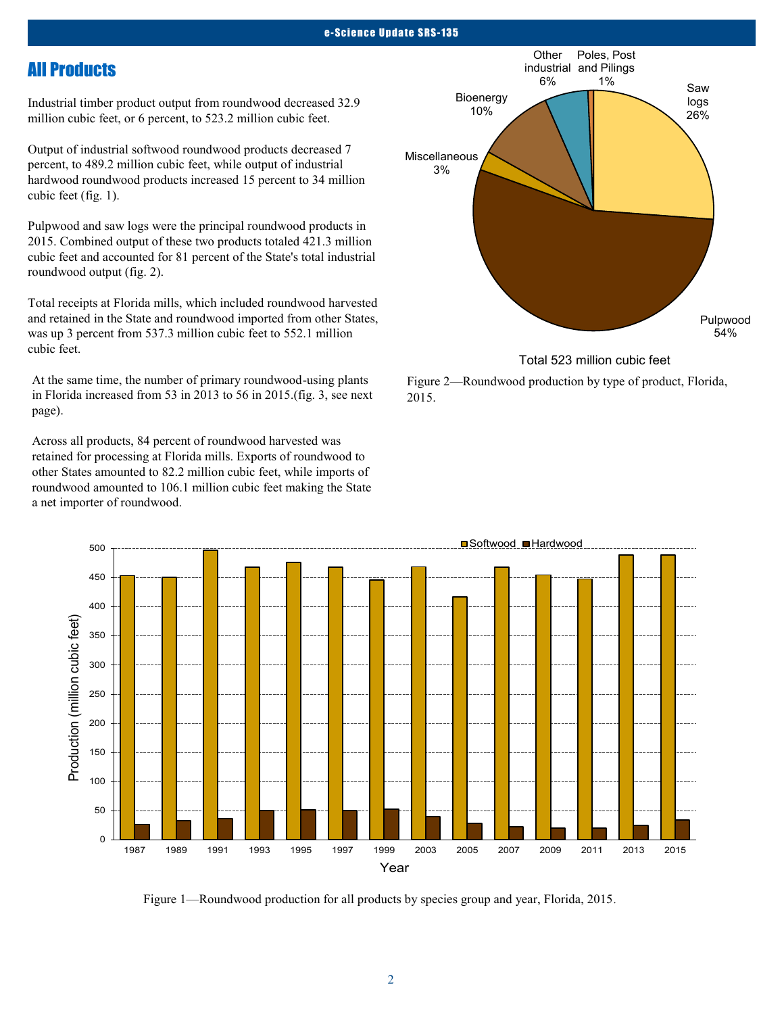#### e-Science Update SRS-135

## All Products

Industrial timber product output from roundwood decreased 32.9 million cubic feet, or 6 percent, to 523.2 million cubic feet.

Output of industrial softwood roundwood products decreased 7 percent, to 489.2 million cubic feet, while output of industrial hardwood roundwood products increased 15 percent to 34 million cubic feet (fig. 1).

Pulpwood and saw logs were the principal roundwood products in 2015. Combined output of these two products totaled 421.3 million cubic feet and accounted for 81 percent of the State's total industrial roundwood output (fig. 2).

Total receipts at Florida mills, which included roundwood harvested and retained in the State and roundwood imported from other States, was up 3 percent from 537.3 million cubic feet to 552.1 million cubic feet.

At the same time, the number of primary roundwood-using plants in Florida increased from 53 in 2013 to 56 in 2015.(fig. 3, see next page).

Across all products, 84 percent of roundwood harvested was retained for processing at Florida mills. Exports of roundwood to other States amounted to 82.2 million cubic feet, while imports of roundwood amounted to 106.1 million cubic feet making the State a net importer of roundwood.



Total 523 million cubic feet

Figure 2—Roundwood production by type of product, Florida, 2015.



Figure 1—Roundwood production for all products by species group and year, Florida, 2015.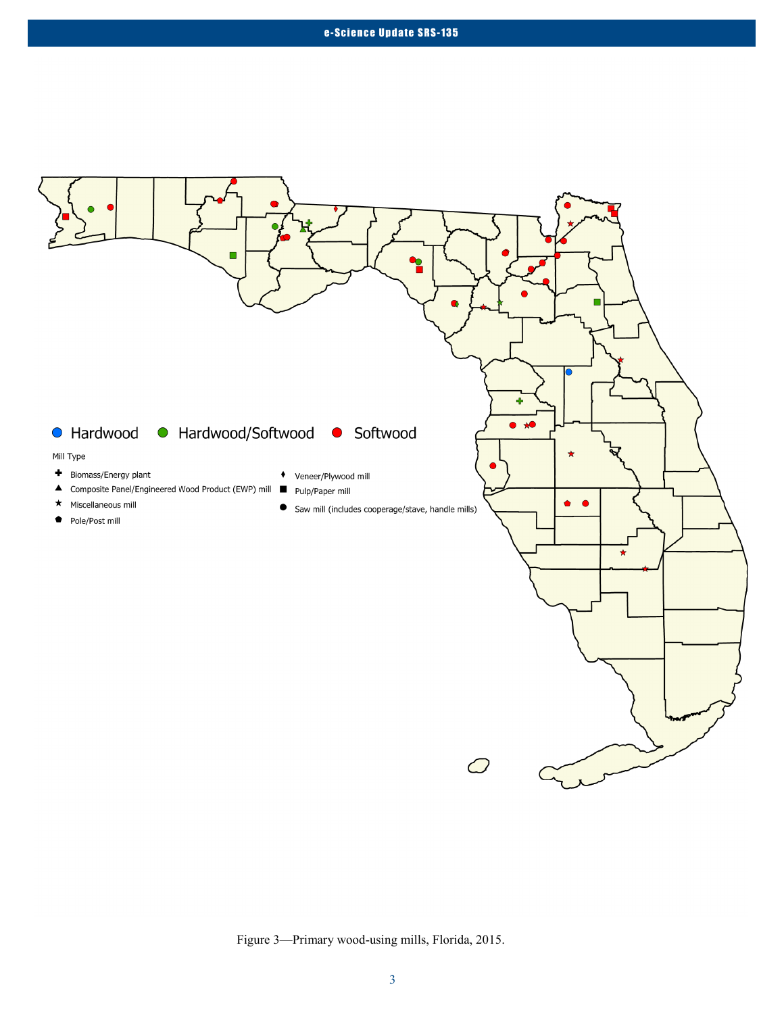

Figure 3—Primary wood-using mills, Florida, 2015.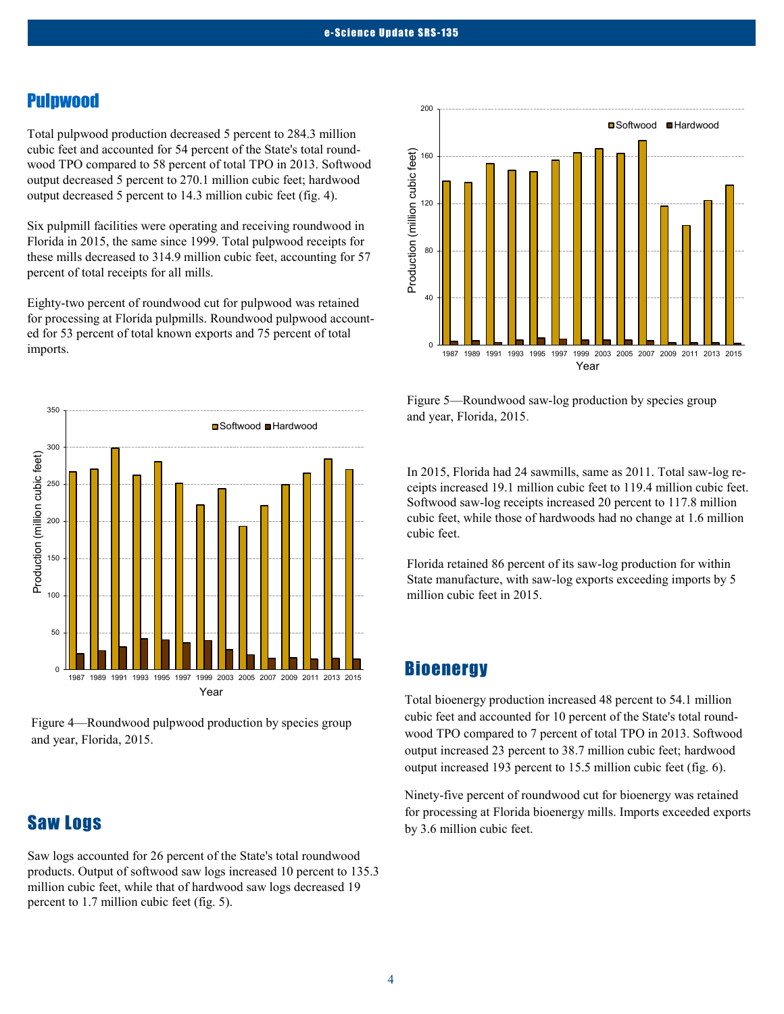## Pulpwood

Total pulpwood production decreased 5 percent to 284.3 million cubic feet and accounted for 54 percent of the State's total roundwood TPO compared to 58 percent of total TPO in 2013. Softwood output decreased 5 percent to 270.1 million cubic feet; hardwood output decreased 5 percent to 14.3 million cubic feet (fig. 4).

Six pulpmill facilities were operating and receiving roundwood in Florida in 2015, the same since 1999. Total pulpwood receipts for these mills decreased to 314.9 million cubic feet, accounting for 57 percent of total receipts for all mills.

Eighty-two percent of roundwood cut for pulpwood was retained for processing at Florida pulpmills. Roundwood pulpwood accounted for 53 percent of total known exports and 75 percent of total imports.



Figure 4—Roundwood pulpwood production by species group and year, Florida, 2015.

## Saw Logs

Saw logs accounted for 26 percent of the State's total roundwood products. Output of softwood saw logs increased 10 percent to 135.3 million cubic feet, while that of hardwood saw logs decreased 19 percent to 1.7 million cubic feet (fig. 5).



Figure 5—Roundwood saw-log production by species group and year, Florida, 2015.

In 2015, Florida had 24 sawmills, same as 2011. Total saw-log receipts increased 19.1 million cubic feet to 119.4 million cubic feet. Softwood saw-log receipts increased 20 percent to 117.8 million cubic feet, while those of hardwoods had no change at 1.6 million cubic feet.

Florida retained 86 percent of its saw-log production for within State manufacture, with saw-log exports exceeding imports by 5 million cubic feet in 2015.

## **Bioenergy**

Total bioenergy production increased 48 percent to 54.1 million cubic feet and accounted for 10 percent of the State's total roundwood TPO compared to 7 percent of total TPO in 2013. Softwood output increased 23 percent to 38.7 million cubic feet; hardwood output increased 193 percent to 15.5 million cubic feet (fig. 6).

Ninety-five percent of roundwood cut for bioenergy was retained for processing at Florida bioenergy mills. Imports exceeded exports by 3.6 million cubic feet.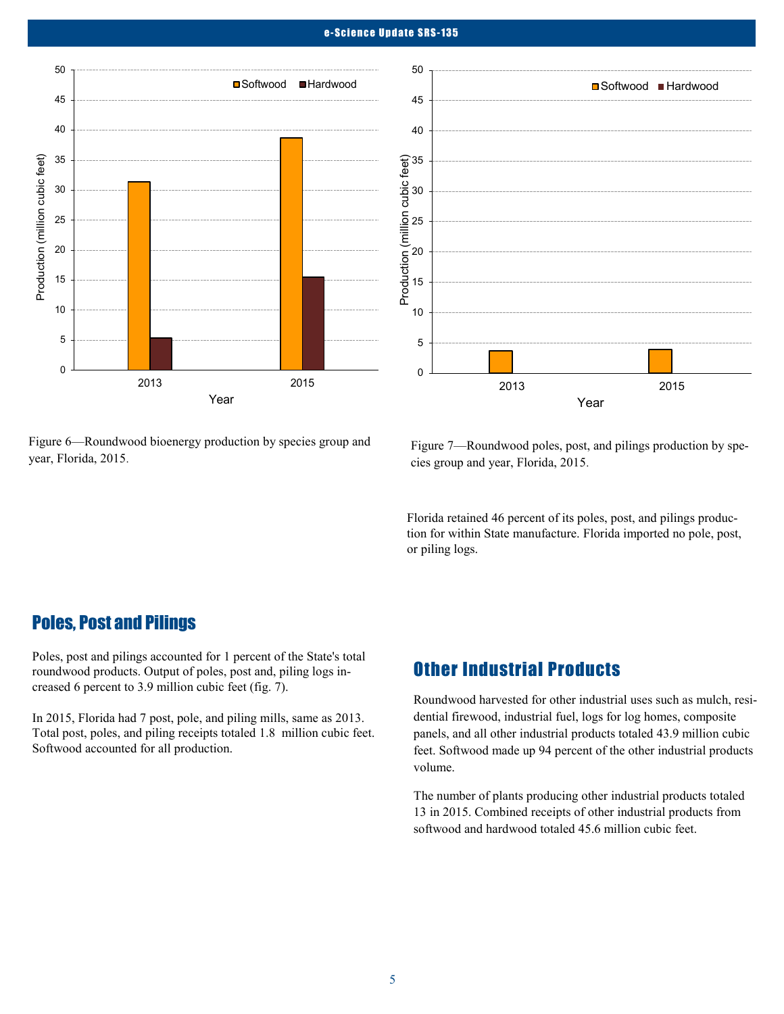#### e-Science Update SRS-135

0

5

10

15

20

25

30

35

40

45

50



Figure 6—Roundwood bioenergy production by species group and year, Florida, 2015.

Figure 7—Roundwood poles, post, and pilings production by species group and year, Florida, 2015.

2013 2015

**■Softwood ■Hardwood** 

Year

Florida retained 46 percent of its poles, post, and pilings production for within State manufacture. Florida imported no pole, post, or piling logs.

## Poles, Post and Pilings

Poles, post and pilings accounted for 1 percent of the State's total roundwood products. Output of poles, post and, piling logs increased 6 percent to 3.9 million cubic feet (fig. 7).

In 2015, Florida had 7 post, pole, and piling mills, same as 2013. Total post, poles, and piling receipts totaled 1.8 million cubic feet. Softwood accounted for all production.

## Other Industrial Products

Roundwood harvested for other industrial uses such as mulch, residential firewood, industrial fuel, logs for log homes, composite panels, and all other industrial products totaled 43.9 million cubic feet. Softwood made up 94 percent of the other industrial products volume.

The number of plants producing other industrial products totaled 13 in 2015. Combined receipts of other industrial products from softwood and hardwood totaled 45.6 million cubic feet.